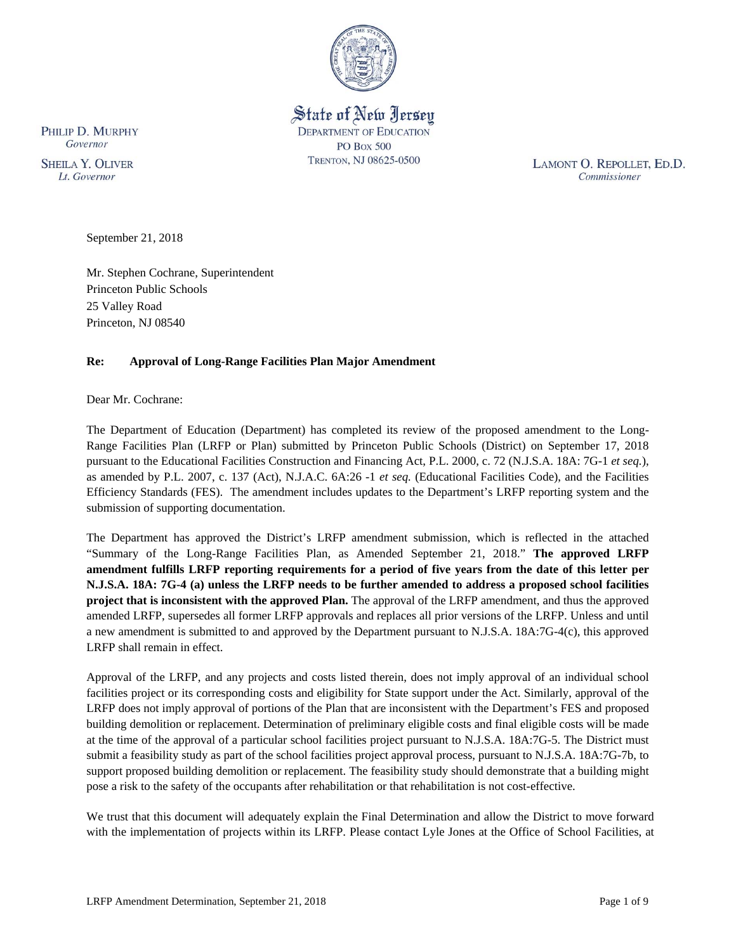

State of New Jersey **DEPARTMENT OF EDUCATION PO Box 500** TRENTON, NJ 08625-0500

LAMONT O. REPOLLET, ED.D. Commissioner

PHILIP D. MURPHY Governor

**SHEILA Y. OLIVER** Lt. Governor

September 21, 2018

Mr. Stephen Cochrane, Superintendent Princeton Public Schools 25 Valley Road Princeton, NJ 08540

# **Re: Approval of Long-Range Facilities Plan Major Amendment**

Dear Mr. Cochrane:

The Department of Education (Department) has completed its review of the proposed amendment to the Long-Range Facilities Plan (LRFP or Plan) submitted by Princeton Public Schools (District) on September 17, 2018 pursuant to the Educational Facilities Construction and Financing Act, P.L. 2000, c. 72 (N.J.S.A. 18A: 7G-1 *et seq.*), as amended by P.L. 2007, c. 137 (Act), N.J.A.C. 6A:26 -1 *et seq.* (Educational Facilities Code), and the Facilities Efficiency Standards (FES). The amendment includes updates to the Department's LRFP reporting system and the submission of supporting documentation.

The Department has approved the District's LRFP amendment submission, which is reflected in the attached "Summary of the Long-Range Facilities Plan, as Amended September 21, 2018." **The approved LRFP amendment fulfills LRFP reporting requirements for a period of five years from the date of this letter per N.J.S.A. 18A: 7G-4 (a) unless the LRFP needs to be further amended to address a proposed school facilities project that is inconsistent with the approved Plan.** The approval of the LRFP amendment, and thus the approved amended LRFP, supersedes all former LRFP approvals and replaces all prior versions of the LRFP. Unless and until a new amendment is submitted to and approved by the Department pursuant to N.J.S.A. 18A:7G-4(c), this approved LRFP shall remain in effect.

Approval of the LRFP, and any projects and costs listed therein, does not imply approval of an individual school facilities project or its corresponding costs and eligibility for State support under the Act. Similarly, approval of the LRFP does not imply approval of portions of the Plan that are inconsistent with the Department's FES and proposed building demolition or replacement. Determination of preliminary eligible costs and final eligible costs will be made at the time of the approval of a particular school facilities project pursuant to N.J.S.A. 18A:7G-5. The District must submit a feasibility study as part of the school facilities project approval process, pursuant to N.J.S.A. 18A:7G-7b, to support proposed building demolition or replacement. The feasibility study should demonstrate that a building might pose a risk to the safety of the occupants after rehabilitation or that rehabilitation is not cost-effective.

We trust that this document will adequately explain the Final Determination and allow the District to move forward with the implementation of projects within its LRFP. Please contact Lyle Jones at the Office of School Facilities, at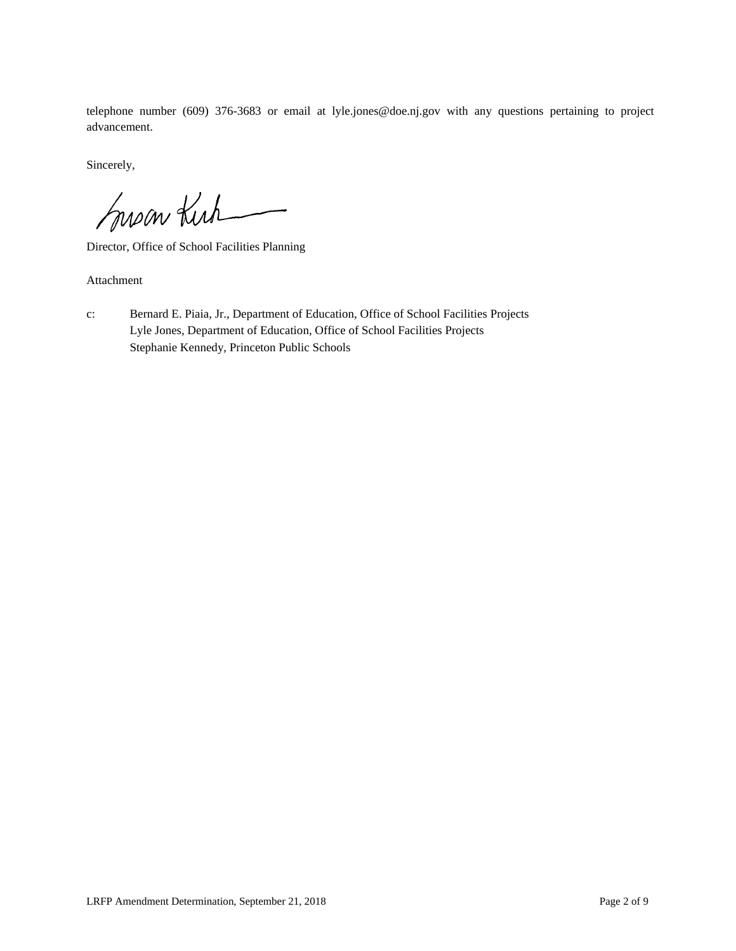telephone number (609) 376-3683 or email at lyle.jones@doe.nj.gov with any questions pertaining to project advancement.

Sincerely,

Susan Kuh

Director, Office of School Facilities Planning

Attachment

c: Bernard E. Piaia, Jr., Department of Education, Office of School Facilities Projects Lyle Jones, Department of Education, Office of School Facilities Projects Stephanie Kennedy, Princeton Public Schools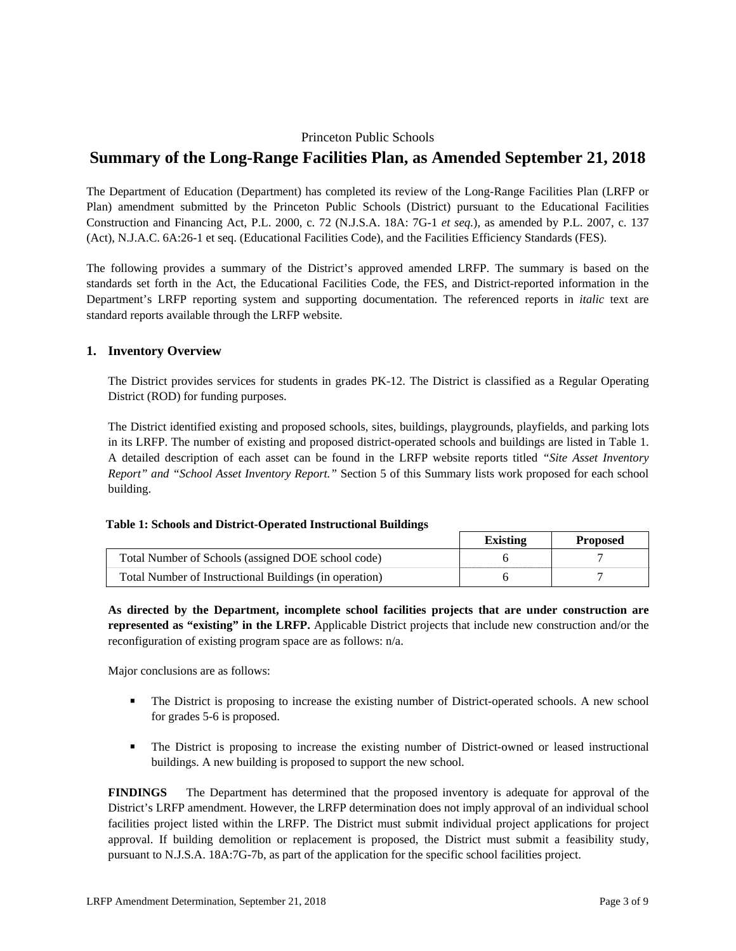# Princeton Public Schools

# **Summary of the Long-Range Facilities Plan, as Amended September 21, 2018**

The Department of Education (Department) has completed its review of the Long-Range Facilities Plan (LRFP or Plan) amendment submitted by the Princeton Public Schools (District) pursuant to the Educational Facilities Construction and Financing Act, P.L. 2000, c. 72 (N.J.S.A. 18A: 7G-1 *et seq.*), as amended by P.L. 2007, c. 137 (Act), N.J.A.C. 6A:26-1 et seq. (Educational Facilities Code), and the Facilities Efficiency Standards (FES).

The following provides a summary of the District's approved amended LRFP. The summary is based on the standards set forth in the Act, the Educational Facilities Code, the FES, and District-reported information in the Department's LRFP reporting system and supporting documentation. The referenced reports in *italic* text are standard reports available through the LRFP website.

# **1. Inventory Overview**

The District provides services for students in grades PK-12. The District is classified as a Regular Operating District (ROD) for funding purposes.

The District identified existing and proposed schools, sites, buildings, playgrounds, playfields, and parking lots in its LRFP. The number of existing and proposed district-operated schools and buildings are listed in Table 1. A detailed description of each asset can be found in the LRFP website reports titled *"Site Asset Inventory Report" and "School Asset Inventory Report."* Section 5 of this Summary lists work proposed for each school building.

#### **Table 1: Schools and District-Operated Instructional Buildings**

|                                                        | Existing | <b>Proposed</b> |
|--------------------------------------------------------|----------|-----------------|
| Total Number of Schools (assigned DOE school code)     |          |                 |
| Total Number of Instructional Buildings (in operation) |          |                 |

**As directed by the Department, incomplete school facilities projects that are under construction are represented as "existing" in the LRFP.** Applicable District projects that include new construction and/or the reconfiguration of existing program space are as follows: n/a.

Major conclusions are as follows:

- The District is proposing to increase the existing number of District-operated schools. A new school for grades 5-6 is proposed.
- The District is proposing to increase the existing number of District-owned or leased instructional buildings. A new building is proposed to support the new school.

**FINDINGS** The Department has determined that the proposed inventory is adequate for approval of the District's LRFP amendment. However, the LRFP determination does not imply approval of an individual school facilities project listed within the LRFP. The District must submit individual project applications for project approval. If building demolition or replacement is proposed, the District must submit a feasibility study, pursuant to N.J.S.A. 18A:7G-7b, as part of the application for the specific school facilities project.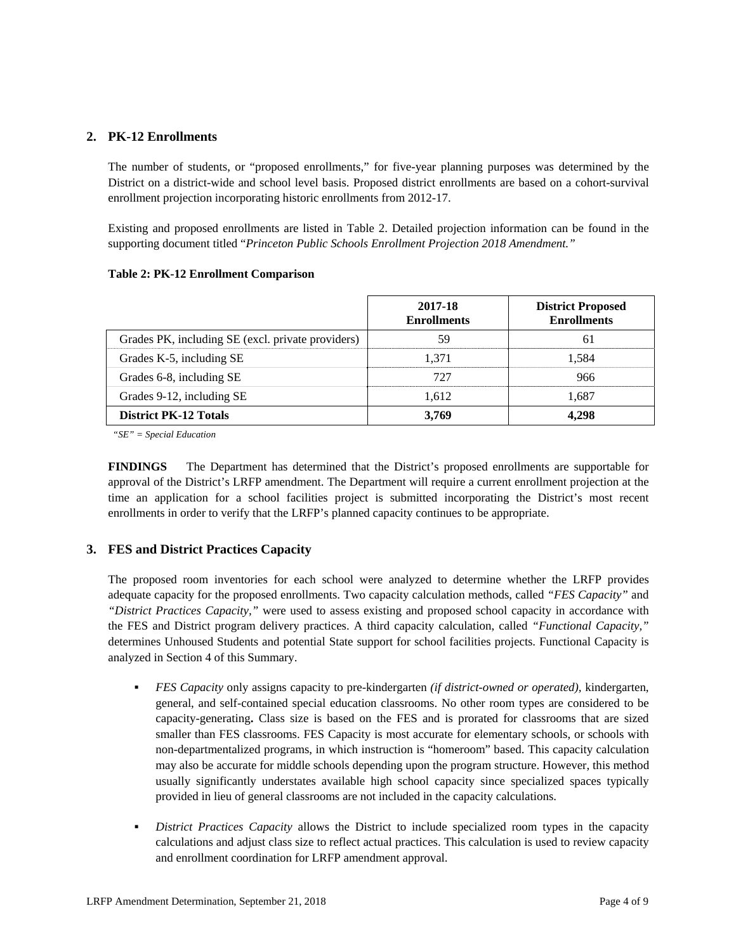# **2. PK-12 Enrollments**

The number of students, or "proposed enrollments," for five-year planning purposes was determined by the District on a district-wide and school level basis. Proposed district enrollments are based on a cohort-survival enrollment projection incorporating historic enrollments from 2012-17.

Existing and proposed enrollments are listed in Table 2. Detailed projection information can be found in the supporting document titled "*Princeton Public Schools Enrollment Projection 2018 Amendment."*

#### **Table 2: PK-12 Enrollment Comparison**

|                                                   | 2017-18<br><b>Enrollments</b> | <b>District Proposed</b><br><b>Enrollments</b> |
|---------------------------------------------------|-------------------------------|------------------------------------------------|
| Grades PK, including SE (excl. private providers) | 59                            | 61                                             |
| Grades K-5, including SE                          | 1.371                         | 1,584                                          |
| Grades 6-8, including SE                          | 727                           | 966                                            |
| Grades 9-12, including SE                         | 1.612                         | 1,687                                          |
| <b>District PK-12 Totals</b>                      | 3.769                         | 4.298                                          |

*"SE" = Special Education* 

**FINDINGS** The Department has determined that the District's proposed enrollments are supportable for approval of the District's LRFP amendment. The Department will require a current enrollment projection at the time an application for a school facilities project is submitted incorporating the District's most recent enrollments in order to verify that the LRFP's planned capacity continues to be appropriate.

#### **3. FES and District Practices Capacity**

The proposed room inventories for each school were analyzed to determine whether the LRFP provides adequate capacity for the proposed enrollments. Two capacity calculation methods, called *"FES Capacity"* and *"District Practices Capacity,"* were used to assess existing and proposed school capacity in accordance with the FES and District program delivery practices. A third capacity calculation, called *"Functional Capacity,"* determines Unhoused Students and potential State support for school facilities projects. Functional Capacity is analyzed in Section 4 of this Summary.

- *FES Capacity* only assigns capacity to pre-kindergarten *(if district-owned or operated),* kindergarten, general, and self-contained special education classrooms. No other room types are considered to be capacity-generating**.** Class size is based on the FES and is prorated for classrooms that are sized smaller than FES classrooms. FES Capacity is most accurate for elementary schools, or schools with non-departmentalized programs, in which instruction is "homeroom" based. This capacity calculation may also be accurate for middle schools depending upon the program structure. However, this method usually significantly understates available high school capacity since specialized spaces typically provided in lieu of general classrooms are not included in the capacity calculations.
- *District Practices Capacity* allows the District to include specialized room types in the capacity calculations and adjust class size to reflect actual practices. This calculation is used to review capacity and enrollment coordination for LRFP amendment approval.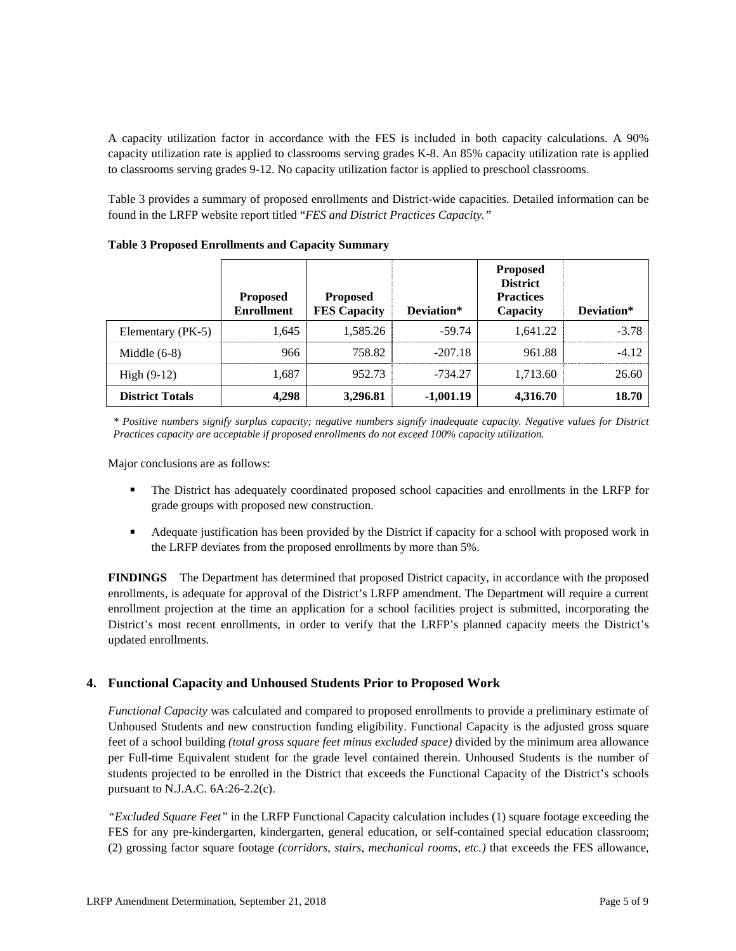A capacity utilization factor in accordance with the FES is included in both capacity calculations. A 90% capacity utilization rate is applied to classrooms serving grades K-8. An 85% capacity utilization rate is applied to classrooms serving grades 9-12. No capacity utilization factor is applied to preschool classrooms.

Table 3 provides a summary of proposed enrollments and District-wide capacities. Detailed information can be found in the LRFP website report titled "*FES and District Practices Capacity."*

|                        | <b>Proposed</b><br><b>Enrollment</b> | <b>Proposed</b><br><b>FES Capacity</b> | Deviation*  | <b>Proposed</b><br><b>District</b><br><b>Practices</b><br>Capacity | Deviation* |
|------------------------|--------------------------------------|----------------------------------------|-------------|--------------------------------------------------------------------|------------|
| Elementary (PK-5)      | 1,645                                | 1,585.26                               | $-59.74$    | 1,641.22                                                           | $-3.78$    |
| Middle $(6-8)$         | 966                                  | 758.82                                 | $-207.18$   | 961.88                                                             | $-4.12$    |
| High $(9-12)$          | 1,687                                | 952.73                                 | $-734.27$   | 1,713.60                                                           | 26.60      |
| <b>District Totals</b> | 4,298                                | 3,296.81                               | $-1,001.19$ | 4,316.70                                                           | 18.70      |

**Table 3 Proposed Enrollments and Capacity Summary**

*\* Positive numbers signify surplus capacity; negative numbers signify inadequate capacity. Negative values for District Practices capacity are acceptable if proposed enrollments do not exceed 100% capacity utilization.* 

Major conclusions are as follows:

- The District has adequately coordinated proposed school capacities and enrollments in the LRFP for grade groups with proposed new construction.
- Adequate justification has been provided by the District if capacity for a school with proposed work in the LRFP deviates from the proposed enrollments by more than 5%.

**FINDINGS** The Department has determined that proposed District capacity, in accordance with the proposed enrollments, is adequate for approval of the District's LRFP amendment. The Department will require a current enrollment projection at the time an application for a school facilities project is submitted, incorporating the District's most recent enrollments, in order to verify that the LRFP's planned capacity meets the District's updated enrollments.

#### **4. Functional Capacity and Unhoused Students Prior to Proposed Work**

*Functional Capacity* was calculated and compared to proposed enrollments to provide a preliminary estimate of Unhoused Students and new construction funding eligibility. Functional Capacity is the adjusted gross square feet of a school building *(total gross square feet minus excluded space)* divided by the minimum area allowance per Full-time Equivalent student for the grade level contained therein. Unhoused Students is the number of students projected to be enrolled in the District that exceeds the Functional Capacity of the District's schools pursuant to N.J.A.C.  $6A:26-2.2(c)$ .

*"Excluded Square Feet"* in the LRFP Functional Capacity calculation includes (1) square footage exceeding the FES for any pre-kindergarten, kindergarten, general education, or self-contained special education classroom; (2) grossing factor square footage *(corridors, stairs, mechanical rooms, etc.)* that exceeds the FES allowance,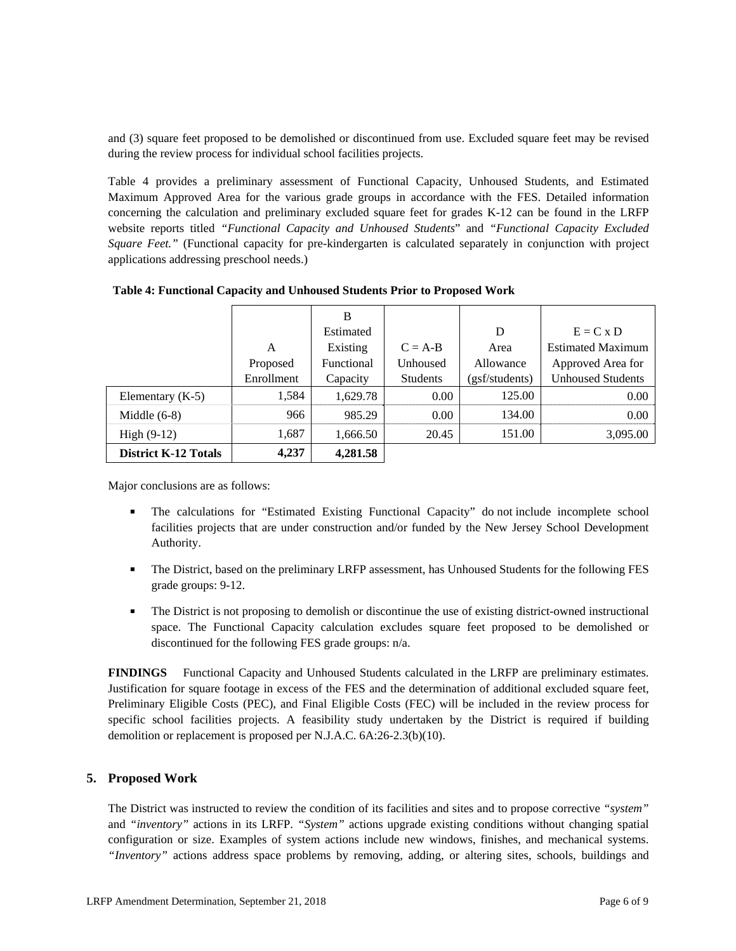and (3) square feet proposed to be demolished or discontinued from use. Excluded square feet may be revised during the review process for individual school facilities projects.

Table 4 provides a preliminary assessment of Functional Capacity, Unhoused Students, and Estimated Maximum Approved Area for the various grade groups in accordance with the FES. Detailed information concerning the calculation and preliminary excluded square feet for grades K-12 can be found in the LRFP website reports titled *"Functional Capacity and Unhoused Students*" and *"Functional Capacity Excluded Square Feet."* (Functional capacity for pre-kindergarten is calculated separately in conjunction with project applications addressing preschool needs.)

|                             |            | B          |                 |                |                          |
|-----------------------------|------------|------------|-----------------|----------------|--------------------------|
|                             |            | Estimated  |                 | D              | $E = C x D$              |
|                             | A          | Existing   | $C = A-B$       | Area           | <b>Estimated Maximum</b> |
| Proposed                    |            | Functional | Unhoused        | Allowance      | Approved Area for        |
|                             | Enrollment | Capacity   | <b>Students</b> | (gsf/students) | <b>Unhoused Students</b> |
| Elementary $(K-5)$          | 1,584      | 1,629.78   | 0.00            | 125.00         | 0.00                     |
| Middle $(6-8)$              | 966        | 985.29     | 0.00            | 134.00         | 0.00                     |
| High $(9-12)$               | 1,687      | 1,666.50   | 20.45           | 151.00         | 3,095.00                 |
| <b>District K-12 Totals</b> | 4,237      | 4.281.58   |                 |                |                          |

Major conclusions are as follows:

- The calculations for "Estimated Existing Functional Capacity" do not include incomplete school facilities projects that are under construction and/or funded by the New Jersey School Development Authority.
- The District, based on the preliminary LRFP assessment, has Unhoused Students for the following FES grade groups: 9-12.
- The District is not proposing to demolish or discontinue the use of existing district-owned instructional space. The Functional Capacity calculation excludes square feet proposed to be demolished or discontinued for the following FES grade groups: n/a.

**FINDINGS** Functional Capacity and Unhoused Students calculated in the LRFP are preliminary estimates. Justification for square footage in excess of the FES and the determination of additional excluded square feet, Preliminary Eligible Costs (PEC), and Final Eligible Costs (FEC) will be included in the review process for specific school facilities projects. A feasibility study undertaken by the District is required if building demolition or replacement is proposed per N.J.A.C. 6A:26-2.3(b)(10).

#### **5. Proposed Work**

The District was instructed to review the condition of its facilities and sites and to propose corrective *"system"* and *"inventory"* actions in its LRFP. *"System"* actions upgrade existing conditions without changing spatial configuration or size. Examples of system actions include new windows, finishes, and mechanical systems. *"Inventory"* actions address space problems by removing, adding, or altering sites, schools, buildings and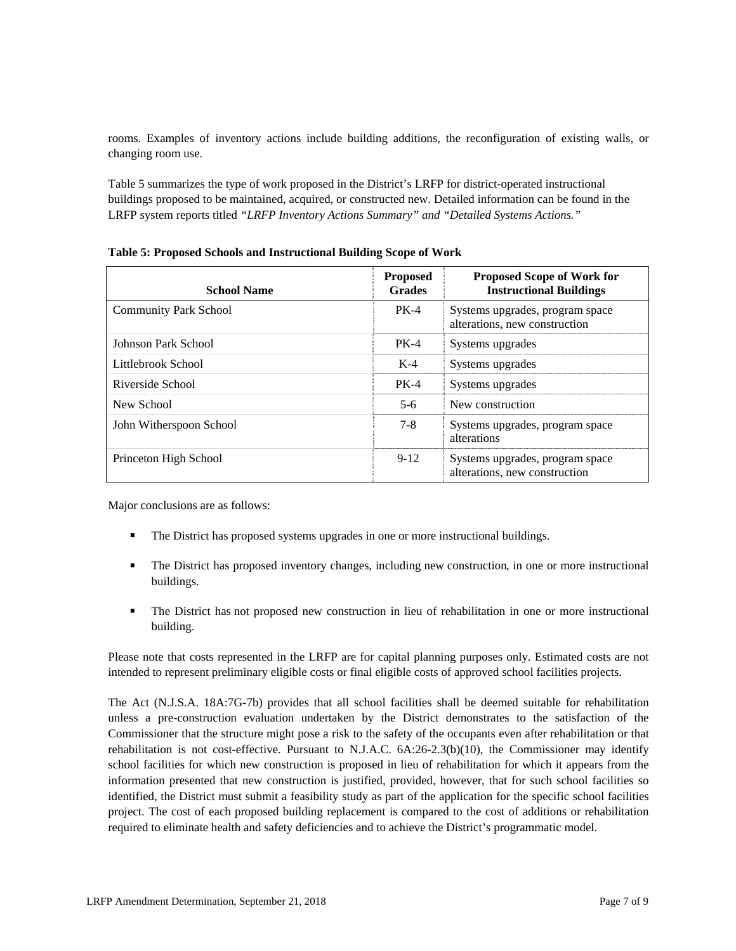rooms. Examples of inventory actions include building additions, the reconfiguration of existing walls, or changing room use.

Table 5 summarizes the type of work proposed in the District's LRFP for district-operated instructional buildings proposed to be maintained, acquired, or constructed new. Detailed information can be found in the LRFP system reports titled *"LRFP Inventory Actions Summary" and "Detailed Systems Actions."*

| <b>School Name</b>           | <b>Proposed</b><br><b>Grades</b> | <b>Proposed Scope of Work for</b><br><b>Instructional Buildings</b> |
|------------------------------|----------------------------------|---------------------------------------------------------------------|
| <b>Community Park School</b> | <b>PK-4</b>                      | Systems upgrades, program space<br>alterations, new construction    |
| Johnson Park School          | $PK-4$                           | Systems upgrades                                                    |
| Littlebrook School           | $K-4$                            | Systems upgrades                                                    |
| Riverside School             | $PK-4$                           | Systems upgrades                                                    |
| New School                   | $5-6$                            | New construction                                                    |
| John Witherspoon School      | $7 - 8$                          | Systems upgrades, program space<br>alterations                      |
| Princeton High School        | $9-12$                           | Systems upgrades, program space<br>alterations, new construction    |

**Table 5: Proposed Schools and Instructional Building Scope of Work** 

Major conclusions are as follows:

- The District has proposed systems upgrades in one or more instructional buildings.
- The District has proposed inventory changes, including new construction, in one or more instructional buildings.
- The District has not proposed new construction in lieu of rehabilitation in one or more instructional building.

Please note that costs represented in the LRFP are for capital planning purposes only. Estimated costs are not intended to represent preliminary eligible costs or final eligible costs of approved school facilities projects.

The Act (N.J.S.A. 18A:7G-7b) provides that all school facilities shall be deemed suitable for rehabilitation unless a pre-construction evaluation undertaken by the District demonstrates to the satisfaction of the Commissioner that the structure might pose a risk to the safety of the occupants even after rehabilitation or that rehabilitation is not cost-effective. Pursuant to N.J.A.C. 6A:26-2.3(b)(10), the Commissioner may identify school facilities for which new construction is proposed in lieu of rehabilitation for which it appears from the information presented that new construction is justified, provided, however, that for such school facilities so identified, the District must submit a feasibility study as part of the application for the specific school facilities project. The cost of each proposed building replacement is compared to the cost of additions or rehabilitation required to eliminate health and safety deficiencies and to achieve the District's programmatic model.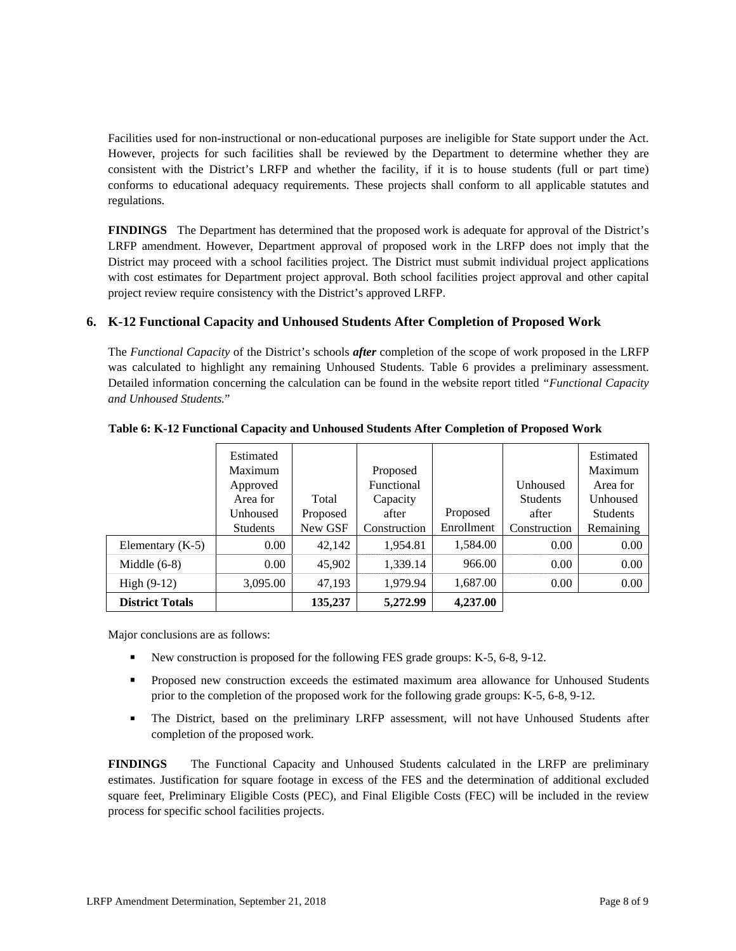Facilities used for non-instructional or non-educational purposes are ineligible for State support under the Act. However, projects for such facilities shall be reviewed by the Department to determine whether they are consistent with the District's LRFP and whether the facility, if it is to house students (full or part time) conforms to educational adequacy requirements. These projects shall conform to all applicable statutes and regulations.

**FINDINGS** The Department has determined that the proposed work is adequate for approval of the District's LRFP amendment. However, Department approval of proposed work in the LRFP does not imply that the District may proceed with a school facilities project. The District must submit individual project applications with cost estimates for Department project approval. Both school facilities project approval and other capital project review require consistency with the District's approved LRFP.

# **6. K-12 Functional Capacity and Unhoused Students After Completion of Proposed Work**

The *Functional Capacity* of the District's schools *after* completion of the scope of work proposed in the LRFP was calculated to highlight any remaining Unhoused Students. Table 6 provides a preliminary assessment. Detailed information concerning the calculation can be found in the website report titled *"Functional Capacity and Unhoused Students.*"

|                        | Estimated<br>Maximum<br>Approved<br>Area for<br>Unhoused | Total<br>Proposed | Proposed<br>Functional<br>Capacity<br>after | Proposed   | Unhoused<br><b>Students</b><br>after | Estimated<br>Maximum<br>Area for<br>Unhoused<br><b>Students</b> |
|------------------------|----------------------------------------------------------|-------------------|---------------------------------------------|------------|--------------------------------------|-----------------------------------------------------------------|
|                        | <b>Students</b>                                          | New GSF           | Construction                                | Enrollment | Construction                         | Remaining                                                       |
| Elementary $(K-5)$     | 0.00                                                     | 42,142            | 1,954.81                                    | 1,584.00   | 0.00                                 | 0.00                                                            |
| Middle $(6-8)$         | 0.00                                                     | 45,902            | 1,339.14                                    | 966.00     | 0.00                                 | 0.00                                                            |
| High $(9-12)$          | 3,095.00                                                 | 47,193            | 1,979.94                                    | 1,687.00   | 0.00                                 | 0.00                                                            |
| <b>District Totals</b> |                                                          | 135,237           | 5,272.99                                    | 4,237.00   |                                      |                                                                 |

**Table 6: K-12 Functional Capacity and Unhoused Students After Completion of Proposed Work** 

Major conclusions are as follows:

- New construction is proposed for the following FES grade groups: K-5, 6-8, 9-12.
- **Proposed new construction exceeds the estimated maximum area allowance for Unhoused Students** prior to the completion of the proposed work for the following grade groups: K-5, 6-8, 9-12.
- The District, based on the preliminary LRFP assessment, will not have Unhoused Students after completion of the proposed work.

**FINDINGS** The Functional Capacity and Unhoused Students calculated in the LRFP are preliminary estimates. Justification for square footage in excess of the FES and the determination of additional excluded square feet, Preliminary Eligible Costs (PEC), and Final Eligible Costs (FEC) will be included in the review process for specific school facilities projects.